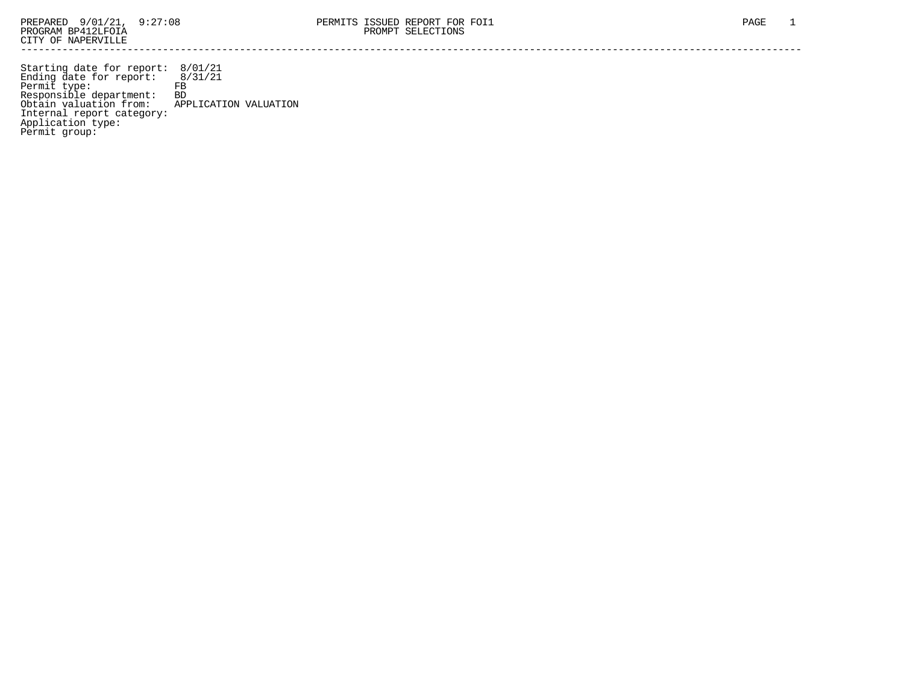Starting date for report: 8/01/21 Ending date for report: 8/31/21 Permit type: FB Responsible department: BD Obtain valuation from: APPLICATION VALUATION Internal report category: Application type: Permit group: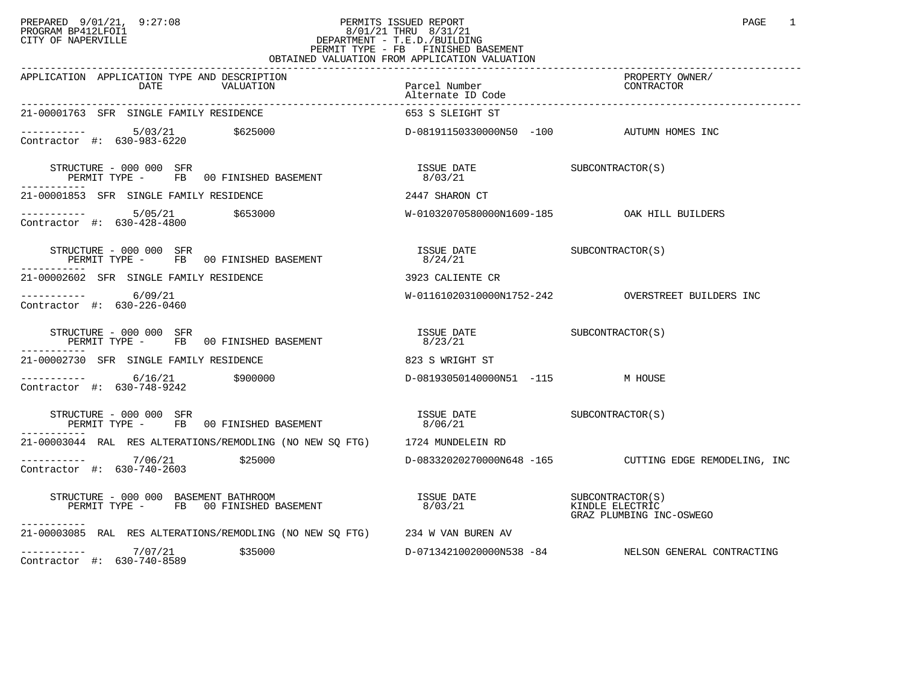## PREPARED 9/01/21, 9:27:08 PERMITS ISSUED REPORT PAGE 1 PROGRAM BP412LFOI1 8/01/21 THRU 8/31/21 CITY OF NAPERVILLE **Example 20** CITY OF NAPERVILLE PERMIT TYPE - FB FINISHED BASEMENT OBTAINED VALUATION FROM APPLICATION VALUATION

| APPLICATION APPLICATION TYPE AND DESCRIPTION<br>DATE<br>VALUATION                                                                                                                 | Parcel Number<br>Alternate ID Code          | PROPERTY OWNER/<br>CONTRACTOR                          |
|-----------------------------------------------------------------------------------------------------------------------------------------------------------------------------------|---------------------------------------------|--------------------------------------------------------|
| 21-00001763 SFR SINGLE FAMILY RESIDENCE                                                                                                                                           | 653 S SLEIGHT ST                            |                                                        |
| $\texttt{--------}$ 5/03/21 \$625000<br>Contractor #: 630-983-6220 \$625000<br>Contractor #: 630-983-6220                                                                         |                                             |                                                        |
| STRUCTURE - 000 000 SFR<br>RUCTURE - 000 000 SFR<br>PERMIT TYPE -     FB   00 FINISHED BASEMENT<br>-----------                                                                    | ISSUE DATE SUBCONTRACTOR(S)<br>8/03/21      |                                                        |
| 21-00001853 SFR SINGLE FAMILY RESIDENCE                                                                                                                                           | 2447 SHARON CT                              |                                                        |
| $---------$ 5/05/21 \$653000<br>Contractor #: 630-428-4800                                                                                                                        | W-01032070580000N1609-185 OAK HILL BUILDERS |                                                        |
| STRUCTURE - 000 000 SFR<br>PERMIT TYPE - FB 00 FINISHED BASEMENT                                                                                                                  |                                             |                                                        |
| 21-00002602 SFR SINGLE FAMILY RESIDENCE                                                                                                                                           | 3923 CALIENTE CR                            |                                                        |
| $--------$ 6/09/21<br>Contractor #: 630-226-0460                                                                                                                                  |                                             | W-01161020310000N1752-242 OVERSTREET BUILDERS INC      |
| $\begin{array}{cccc} \texttt{STRUCTURE} & - & 000 & 000 & \texttt{SFR} \\ \texttt{PERMIT TYPE} & - & \texttt{FB} & 00 \texttt{ FINISHED BASEMENT} & & 8/23/21 & \\ \end{array}$   |                                             |                                                        |
| 21-00002730 SFR SINGLE FAMILY RESIDENCE                                                                                                                                           | 823 S WRIGHT ST                             |                                                        |
| $\frac{1}{2}$ = $\frac{1}{2}$ = $\frac{6}{16/21}$ $\frac{5900000}{20}$<br>Contractor #: 630-748-9242                                                                              | D-08193050140000N51 -115 M HOUSE            |                                                        |
| $\begin{array}{cccc} \texttt{STRUCTURE} & - & 000 & 000 & \texttt{SFR} \\ \texttt{PERMIT TYPE} & - & \texttt{FB} & 00 \texttt{ FINISHED BASEMENT} & & 8/06/21 & & \\ \end{array}$ |                                             |                                                        |
| 21-00003044 RAL RES ALTERATIONS/REMODLING (NO NEW SO FTG) 1724 MUNDELEIN RD                                                                                                       |                                             |                                                        |
| $\frac{1}{25000}$ $\frac{7}{06/21}$ $\frac{25000}{100}$<br>Contractor #: 630-740-2603                                                                                             |                                             | D-08332020270000N648 -165 CUTTING EDGE REMODELING, INC |
| STRUCTURE - 000 000 BASEMENT BATHROOM<br>PERMIT TYPE - FB 00 FINISHED BASEMENT 6/03/21 6/03/21 ATTE CLECTRIC<br>-----------                                                       |                                             | GRAZ PLUMBING INC-OSWEGO                               |
| 21-00003085 RAL RES ALTERATIONS/REMODLING (NO NEW SQ FTG) 234 W VAN BUREN AV                                                                                                      |                                             |                                                        |
| $---------$ 7/07/21 \$35000<br>Contractor #: 630-740-8589                                                                                                                         |                                             | D-07134210020000N538 -84 NELSON GENERAL CONTRACTING    |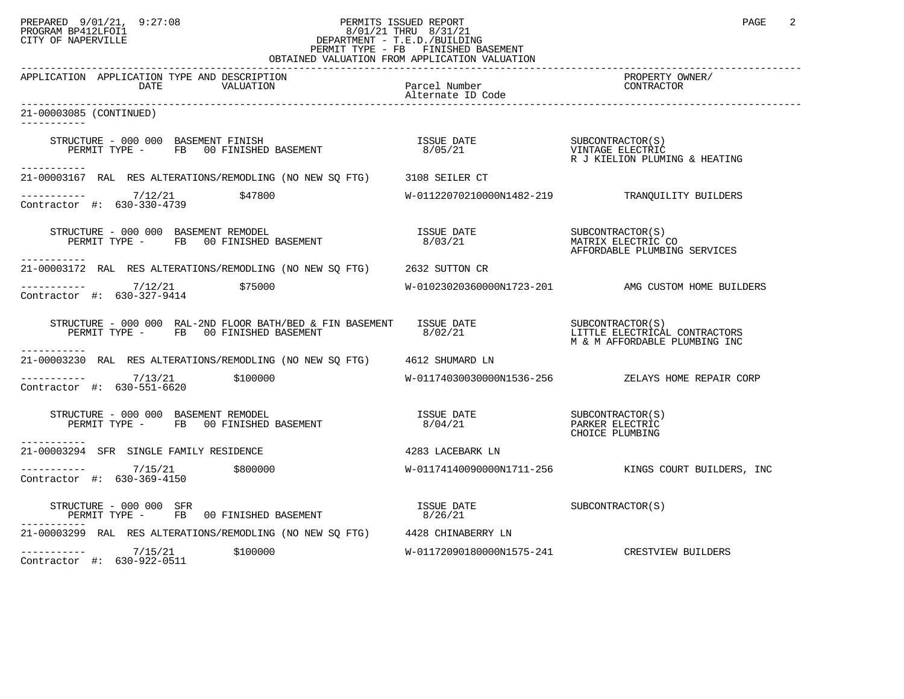## PREPARED 9/01/21, 9:27:08 PERMITS ISSUED REPORT PAGE 2 PROGRAM BP412LFOI1 8/01/21 THRU 8/31/21 CITY OF NAPERVILLE **Example 20** CITY OF NAPERVILLE PERMIT TYPE - FB FINISHED BASEMENT OBTAINED VALUATION FROM APPLICATION VALUATION

| APPLICATION APPLICATION TYPE AND DESCRIPTION<br>DATE<br>VALUATION                                                                                                                                                                                               | Parcel Number<br>Alternate ID Code | PROPERTY OWNER/<br>CONTRACTOR                                           |
|-----------------------------------------------------------------------------------------------------------------------------------------------------------------------------------------------------------------------------------------------------------------|------------------------------------|-------------------------------------------------------------------------|
| 21-00003085 (CONTINUED)                                                                                                                                                                                                                                         |                                    |                                                                         |
| STRUCTURE - 000 000 BASEMENT FINISH<br>RUCTURE - 000 000 BASEMENT FINISH<br>PERMIT TYPE -     FB   00 FINISHED BASEMENT<br>-----------                                                                                                                          | ISSUE DATE<br>8/05/21              | SUBCONTRACTOR(S)<br>VINTAGE ELECTRIC<br>R J KIELION PLUMING & HEATING   |
| 21-00003167 RAL RES ALTERATIONS/REMODLING (NO NEW SQ FTG) 3108 SEILER CT                                                                                                                                                                                        |                                    |                                                                         |
| ----------- 7/12/21 \$47800<br>Contractor #: 630-330-4739                                                                                                                                                                                                       |                                    | W-01122070210000N1482-219 TRANQUILITY BUILDERS                          |
| STRUCTURE - 000 000 BASEMENT REMODEL<br>PERMIT TYPE - FB 00 FINISHED BASEMENT<br>-----------                                                                                                                                                                    | ISSUE DATE<br>8/03/21              | SUBCONTRACTOR (S)<br>MATRIX ELECTRIC CO<br>AFFORDABLE PLUMBING SERVICES |
| 21-00003172 RAL RES ALTERATIONS/REMODLING (NO NEW SQ FTG) 2632 SUTTON CR                                                                                                                                                                                        |                                    |                                                                         |
| -----------  7/12/21    \$75000<br>Contractor #: 630-327-9414                                                                                                                                                                                                   |                                    | W-01023020360000N1723-201 AMG CUSTOM HOME BUILDERS                      |
| ---------                                                                                                                                                                                                                                                       |                                    | LITTLE ELECTRICAL CONTRACTORS<br>M & M AFFORDABLE PLUMBING INC          |
| 21-00003230 RAL RES ALTERATIONS/REMODLING (NO NEW SO FTG) 4612 SHUMARD LN                                                                                                                                                                                       |                                    |                                                                         |
| $-$ ---------- $7/13/21$ \$100000<br>Contractor #: 630-551-6620                                                                                                                                                                                                 |                                    | W-01174030030000N1536-256 ZELAYS HOME REPAIR CORP                       |
| $\begin{array}{cccc} \texttt{STRUCTURE} & - & 000 & 000 & \texttt{BASEMENT} & \texttt{REMDDEL} \\ \texttt{PERMIT TYPE} & - & \texttt{FB} & 00 & \texttt{FINISHED BASEMENT} & \texttt{SUSCHENT} & 8/04/21 & \texttt{PARKER ELECTRIC} \end{array}$<br>----------- |                                    | CHOICE PLUMBING                                                         |
| 21-00003294 SFR SINGLE FAMILY RESIDENCE                                                                                                                                                                                                                         | 4283 LACEBARK LN                   |                                                                         |
| $---------$ 7/15/21 \$800000<br>Contractor #: 630-369-4150                                                                                                                                                                                                      |                                    | W-01174140090000N1711-256 KINGS COURT BUILDERS, INC                     |
| STRUCTURE - 000 000 SFR<br>PERMIT TYPE - FB 00 FINISHED BASEMENT                                                                                                                                                                                                | ISSUE DATE<br>8/26/21              | SUBCONTRACTOR(S)                                                        |
| 21-00003299 RAL RES ALTERATIONS/REMODLING (NO NEW SQ FTG) 4428 CHINABERRY LN                                                                                                                                                                                    |                                    |                                                                         |
| $--------- 7/15/21$<br>\$100000<br>Contractor #: 630-922-0511                                                                                                                                                                                                   |                                    | W-01172090180000N1575-241 CRESTVIEW BUILDERS                            |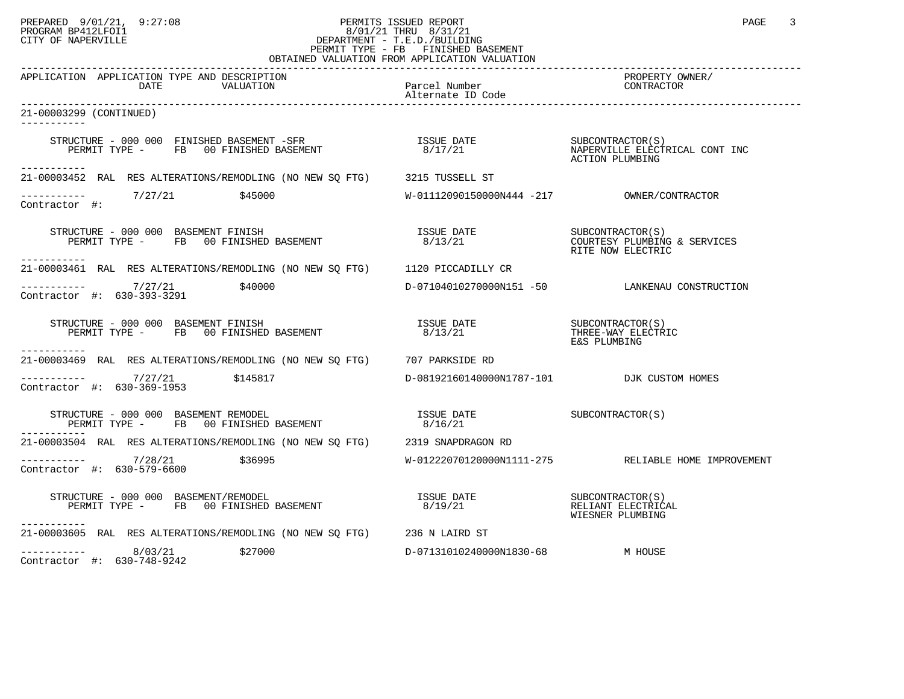## PREPARED 9/01/21, 9:27:08 PERMITS ISSUED REPORT PAGE 3 PROGRAM BP412LFOI1 8/01/21 THRU 8/31/21 CITY OF NAPERVILLE **Example 20** CITY OF NAPERVILLE PERMIT TYPE - FB FINISHED BASEMENT OBTAINED VALUATION FROM APPLICATION VALUATION

| APPLICATION APPLICATION TYPE AND DESCRIPTION<br>DATE<br>VALUATION                                                                                                                                                                                                                                                                                                                                                                                                                                                                    | Parcel Number                              | PROPERTY OWNER/<br>FRUE FILLE                       |
|--------------------------------------------------------------------------------------------------------------------------------------------------------------------------------------------------------------------------------------------------------------------------------------------------------------------------------------------------------------------------------------------------------------------------------------------------------------------------------------------------------------------------------------|--------------------------------------------|-----------------------------------------------------|
| 21-00003299 (CONTINUED)<br><u>___________</u>                                                                                                                                                                                                                                                                                                                                                                                                                                                                                        |                                            |                                                     |
| STRUCTURE - 000 000 FINISHED BASEMENT -SFR<br>PERMIT TYPE - FB 00 FINISHED BASEMENT - 8/17/21 MAPERVILLE ELECTRICAL CONT INC<br>------------                                                                                                                                                                                                                                                                                                                                                                                         |                                            | ACTION PLUMBING                                     |
| 21-00003452 RAL RES ALTERATIONS/REMODLING (NO NEW SQ FTG) 3215 TUSSELL ST                                                                                                                                                                                                                                                                                                                                                                                                                                                            |                                            |                                                     |
| ----------- 7/27/21 \$45000<br>Contractor #:                                                                                                                                                                                                                                                                                                                                                                                                                                                                                         |                                            |                                                     |
| STRUCTURE - 000 000 BASEMENT FINISH<br>PERMIT TYPE - FB 00 FINISHED BASEMENT 6/13/21 6/13/21 DERMIT NOW FLECTER SERVICES<br>----------                                                                                                                                                                                                                                                                                                                                                                                               |                                            | RITE NOW ELECTRIC                                   |
| 21-00003461 RAL RES ALTERATIONS/REMODLING (NO NEW SQ FTG) 1120 PICCADILLY CR                                                                                                                                                                                                                                                                                                                                                                                                                                                         |                                            |                                                     |
| $--------- 7/27/21$ \$40000<br>Contractor #: 630-393-3291                                                                                                                                                                                                                                                                                                                                                                                                                                                                            |                                            | D-07104010270000N151 -50 LANKENAU CONSTRUCTION      |
| STRUCTURE - 000 000 BASEMENT FINISH<br>PERMIT TYPE - FB 00 FINISHED BASEMENT                                                                                                                                                                                                                                                                                                                                                                                                                                                         |                                            |                                                     |
| -----------<br>21-00003469 RAL RES ALTERATIONS/REMODLING (NO NEW SO FTG) 707 PARKSIDE RD                                                                                                                                                                                                                                                                                                                                                                                                                                             |                                            |                                                     |
| $\begin{array}{cccc}\n-2 & -2 & -2 & -2 \\ \text{Contractor} & +2 & 630-369-1953 & & \text{145817}\n\end{array}$                                                                                                                                                                                                                                                                                                                                                                                                                     | D-08192160140000N1787-101 DJK CUSTOM HOMES |                                                     |
| $\begin{array}{cccc} \texttt{STRUCTURE} - 000~000 & \texttt{BASEMENT REMODEL} & \texttt{ISSUE DATE} \\ \texttt{PERMIT TYPE} - \texttt{FB} & 00 FINISHED BASEMENT & 8/16/21 & \\ \end{array}$                                                                                                                                                                                                                                                                                                                                         |                                            |                                                     |
| 21-00003504 RAL RES ALTERATIONS/REMODLING (NO NEW SO FTG) 2319 SNAPDRAGON RD                                                                                                                                                                                                                                                                                                                                                                                                                                                         |                                            |                                                     |
| $\frac{1}{28}$ $\frac{1}{28}$ $\frac{7}{28}$ $\frac{7}{28}$ $\frac{1}{21}$ $\frac{536995}{28}$<br>Contractor #: 630-579-6600                                                                                                                                                                                                                                                                                                                                                                                                         |                                            | W-01222070120000N1111-275 RELIABLE HOME IMPROVEMENT |
| -----------                                                                                                                                                                                                                                                                                                                                                                                                                                                                                                                          | 8/19/21                                    | RELIANT ELECTRICAL<br>WIESNER PLUMBING              |
| 21-00003605 RAL RES ALTERATIONS/REMODLING (NO NEW SQ FTG) 236 N LAIRD ST                                                                                                                                                                                                                                                                                                                                                                                                                                                             |                                            |                                                     |
| $\begin{tabular}{ll} \tt \tt \color{red}---\color{red}---\color{red}---\color{red}---\color{red}---\color{red}---\color{red}---\color{red}---\color{red}---\color{red}---\color{red}---\color{red}---\color{red}---\color{red}---\color{red}---\color{red}---\color{red}---\color{red}---\color{red}---\color{red}---\color{red}---\color{red}---\color{red}---\color{red}---\color{red}---\color{red}---\color{red}---\color{red}---\color{red}---\color{red}---\color{red}---\color{red}---\color{red}---\color{red}---\color{red$ | D-07131010240000N1830-68 M HOUSE           |                                                     |